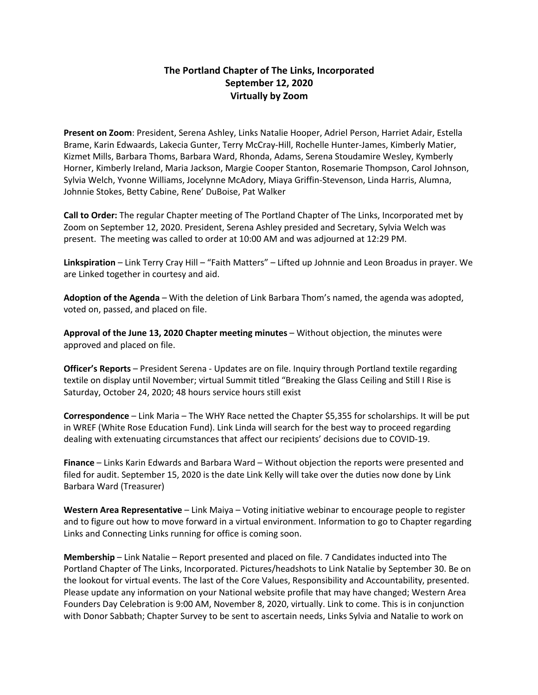# **The Portland Chapter of The Links, Incorporated September 12, 2020 Virtually by Zoom**

**Present on Zoom**: President, Serena Ashley, Links Natalie Hooper, Adriel Person, Harriet Adair, Estella Brame, Karin Edwaards, Lakecia Gunter, Terry McCray-Hill, Rochelle Hunter-James, Kimberly Matier, Kizmet Mills, Barbara Thoms, Barbara Ward, Rhonda, Adams, Serena Stoudamire Wesley, Kymberly Horner, Kimberly Ireland, Maria Jackson, Margie Cooper Stanton, Rosemarie Thompson, Carol Johnson, Sylvia Welch, Yvonne Williams, Jocelynne McAdory, Miaya Griffin-Stevenson, Linda Harris, Alumna, Johnnie Stokes, Betty Cabine, Rene' DuBoise, Pat Walker

**Call to Order:** The regular Chapter meeting of The Portland Chapter of The Links, Incorporated met by Zoom on September 12, 2020. President, Serena Ashley presided and Secretary, Sylvia Welch was present. The meeting was called to order at 10:00 AM and was adjourned at 12:29 PM.

**Linkspiration** – Link Terry Cray Hill – "Faith Matters" – Lifted up Johnnie and Leon Broadus in prayer. We are Linked together in courtesy and aid.

**Adoption of the Agenda** – With the deletion of Link Barbara Thom's named, the agenda was adopted, voted on, passed, and placed on file.

**Approval of the June 13, 2020 Chapter meeting minutes** – Without objection, the minutes were approved and placed on file.

**Officer's Reports** – President Serena - Updates are on file. Inquiry through Portland textile regarding textile on display until November; virtual Summit titled "Breaking the Glass Ceiling and Still I Rise is Saturday, October 24, 2020; 48 hours service hours still exist

**Correspondence** – Link Maria – The WHY Race netted the Chapter \$5,355 for scholarships. It will be put in WREF (White Rose Education Fund). Link Linda will search for the best way to proceed regarding dealing with extenuating circumstances that affect our recipients' decisions due to COVID-19.

**Finance** – Links Karin Edwards and Barbara Ward – Without objection the reports were presented and filed for audit. September 15, 2020 is the date Link Kelly will take over the duties now done by Link Barbara Ward (Treasurer)

**Western Area Representative** – Link Maiya – Voting initiative webinar to encourage people to register and to figure out how to move forward in a virtual environment. Information to go to Chapter regarding Links and Connecting Links running for office is coming soon.

**Membership** – Link Natalie – Report presented and placed on file. 7 Candidates inducted into The Portland Chapter of The Links, Incorporated. Pictures/headshots to Link Natalie by September 30. Be on the lookout for virtual events. The last of the Core Values, Responsibility and Accountability, presented. Please update any information on your National website profile that may have changed; Western Area Founders Day Celebration is 9:00 AM, November 8, 2020, virtually. Link to come. This is in conjunction with Donor Sabbath; Chapter Survey to be sent to ascertain needs, Links Sylvia and Natalie to work on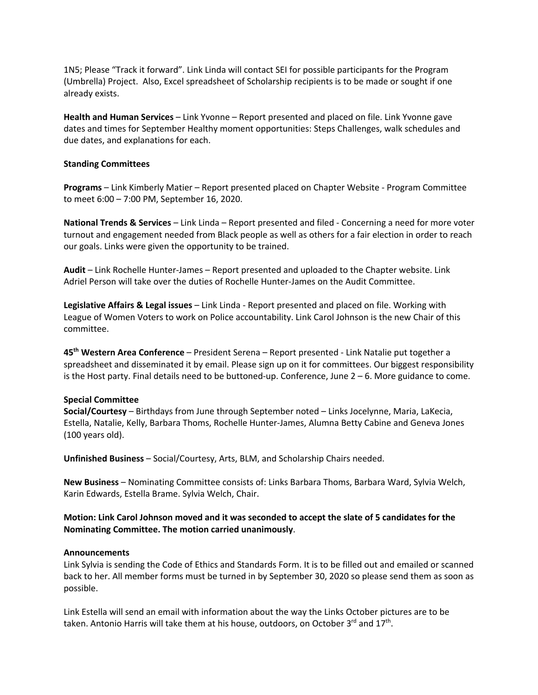1N5; Please "Track it forward". Link Linda will contact SEI for possible participants for the Program (Umbrella) Project. Also, Excel spreadsheet of Scholarship recipients is to be made or sought if one already exists.

**Health and Human Services** – Link Yvonne – Report presented and placed on file. Link Yvonne gave dates and times for September Healthy moment opportunities: Steps Challenges, walk schedules and due dates, and explanations for each.

### **Standing Committees**

**Programs** – Link Kimberly Matier – Report presented placed on Chapter Website - Program Committee to meet 6:00 – 7:00 PM, September 16, 2020.

**National Trends & Services** – Link Linda – Report presented and filed - Concerning a need for more voter turnout and engagement needed from Black people as well as others for a fair election in order to reach our goals. Links were given the opportunity to be trained.

**Audit** – Link Rochelle Hunter-James – Report presented and uploaded to the Chapter website. Link Adriel Person will take over the duties of Rochelle Hunter-James on the Audit Committee.

**Legislative Affairs & Legal issues** – Link Linda - Report presented and placed on file. Working with League of Women Voters to work on Police accountability. Link Carol Johnson is the new Chair of this committee.

**45th Western Area Conference** – President Serena – Report presented - Link Natalie put together a spreadsheet and disseminated it by email. Please sign up on it for committees. Our biggest responsibility is the Host party. Final details need to be buttoned-up. Conference, June  $2 - 6$ . More guidance to come.

### **Special Committee**

**Social/Courtesy** – Birthdays from June through September noted – Links Jocelynne, Maria, LaKecia, Estella, Natalie, Kelly, Barbara Thoms, Rochelle Hunter-James, Alumna Betty Cabine and Geneva Jones (100 years old).

**Unfinished Business** – Social/Courtesy, Arts, BLM, and Scholarship Chairs needed.

**New Business** – Nominating Committee consists of: Links Barbara Thoms, Barbara Ward, Sylvia Welch, Karin Edwards, Estella Brame. Sylvia Welch, Chair.

**Motion: Link Carol Johnson moved and it was seconded to accept the slate of 5 candidates for the Nominating Committee. The motion carried unanimously**.

#### **Announcements**

Link Sylvia is sending the Code of Ethics and Standards Form. It is to be filled out and emailed or scanned back to her. All member forms must be turned in by September 30, 2020 so please send them as soon as possible.

Link Estella will send an email with information about the way the Links October pictures are to be taken. Antonio Harris will take them at his house, outdoors, on October  $3<sup>rd</sup>$  and  $17<sup>th</sup>$ .